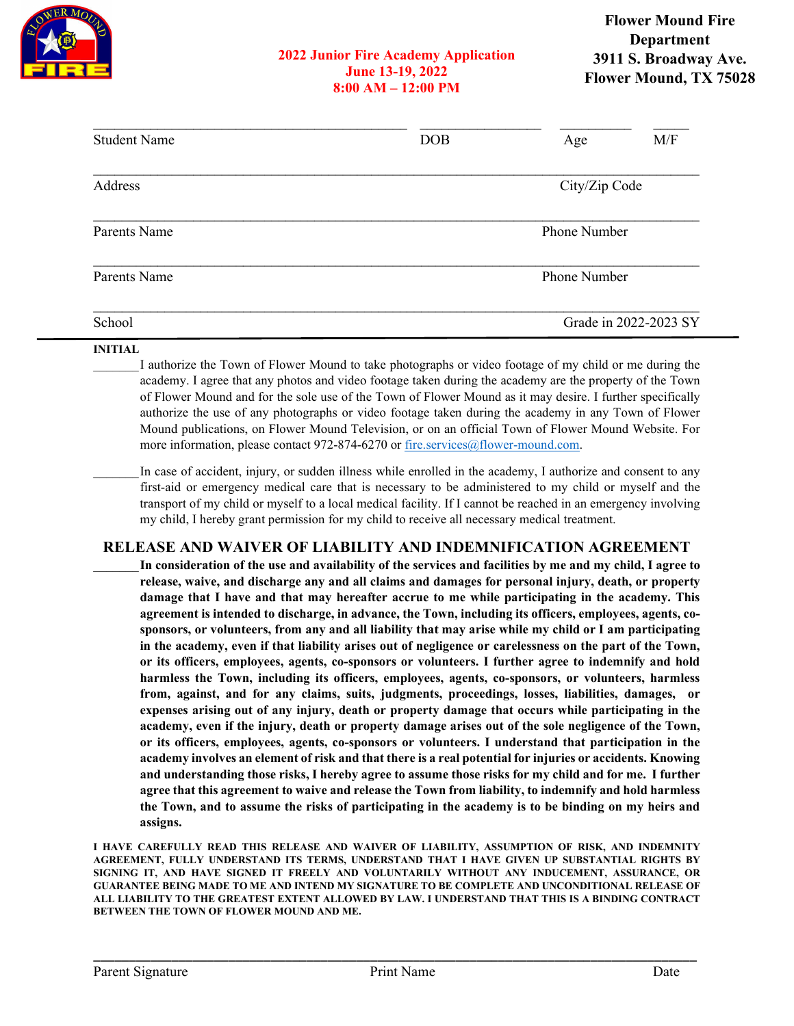

## **2022 Junior Fire Academy Application June 13-19, 2022 8:00 AM – 12:00 PM**

| <b>Student Name</b> | <b>DOB</b> | M/F<br>Age            |
|---------------------|------------|-----------------------|
| Address             |            | City/Zip Code         |
| Parents Name        |            | Phone Number          |
| Parents Name        |            | <b>Phone Number</b>   |
| School              |            | Grade in 2022-2023 SY |

## **INITIAL**

I authorize the Town of Flower Mound to take photographs or video footage of my child or me during the academy. I agree that any photos and video footage taken during the academy are the property of the Town of Flower Mound and for the sole use of the Town of Flower Mound as it may desire. I further specifically authorize the use of any photographs or video footage taken during the academy in any Town of Flower Mound publications, on Flower Mound Television, or on an official Town of Flower Mound Website. For more information, please contact 972-874-6270 or [fire.services@flower-mound.com.](mailto:fire.services@flower-mound.com)

In case of accident, injury, or sudden illness while enrolled in the academy, I authorize and consent to any first-aid or emergency medical care that is necessary to be administered to my child or myself and the transport of my child or myself to a local medical facility. If I cannot be reached in an emergency involving my child, I hereby grant permission for my child to receive all necessary medical treatment.

## **RELEASE AND WAIVER OF LIABILITY AND INDEMNIFICATION AGREEMENT**

\_\_\_\_\_\_\_**In consideration of the use and availability of the services and facilities by me and my child, I agree to release, waive, and discharge any and all claims and damages for personal injury, death, or property damage that I have and that may hereafter accrue to me while participating in the academy. This agreement is intended to discharge, in advance, the Town, including its officers, employees, agents, cosponsors, or volunteers, from any and all liability that may arise while my child or I am participating in the academy, even if that liability arises out of negligence or carelessness on the part of the Town, or its officers, employees, agents, co-sponsors or volunteers. I further agree to indemnify and hold harmless the Town, including its officers, employees, agents, co-sponsors, or volunteers, harmless from, against, and for any claims, suits, judgments, proceedings, losses, liabilities, damages, or expenses arising out of any injury, death or property damage that occurs while participating in the academy, even if the injury, death or property damage arises out of the sole negligence of the Town, or its officers, employees, agents, co-sponsors or volunteers. I understand that participation in the academy involves an element of risk and that there is a real potential for injuries or accidents. Knowing and understanding those risks, I hereby agree to assume those risks for my child and for me. I further agree that this agreement to waive and release the Town from liability, to indemnify and hold harmless the Town, and to assume the risks of participating in the academy is to be binding on my heirs and assigns.**

**I HAVE CAREFULLY READ THIS RELEASE AND WAIVER OF LIABILITY, ASSUMPTION OF RISK, AND INDEMNITY AGREEMENT, FULLY UNDERSTAND ITS TERMS, UNDERSTAND THAT I HAVE GIVEN UP SUBSTANTIAL RIGHTS BY SIGNING IT, AND HAVE SIGNED IT FREELY AND VOLUNTARILY WITHOUT ANY INDUCEMENT, ASSURANCE, OR GUARANTEE BEING MADE TO ME AND INTEND MY SIGNATURE TO BE COMPLETE AND UNCONDITIONAL RELEASE OF ALL LIABILITY TO THE GREATEST EXTENT ALLOWED BY LAW. I UNDERSTAND THAT THIS IS A BINDING CONTRACT BETWEEN THE TOWN OF FLOWER MOUND AND ME.**